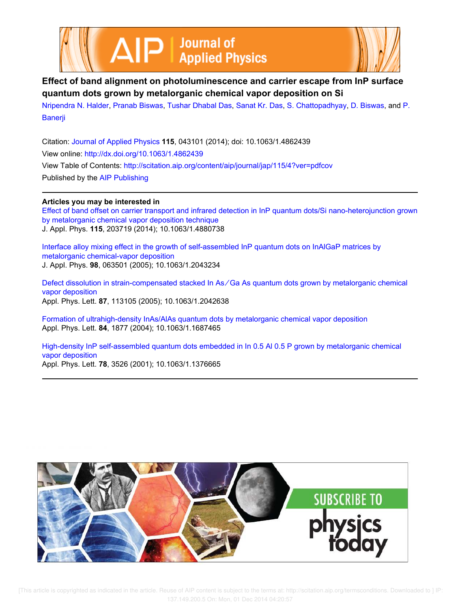



# **Effect of band alignment on photoluminescence and carrier escape from InP surface quantum dots grown by metalorganic chemical vapor deposition on Si**

Nripendra N. Halder, Pranab Biswas, Tushar Dhabal Das, Sanat Kr. Das, S. Chattopadhyay, D. Biswas, and P. Banerji

Citation: Journal of Applied Physics **115**, 043101 (2014); doi: 10.1063/1.4862439 View online: http://dx.doi.org/10.1063/1.4862439 View Table of Contents: http://scitation.aip.org/content/aip/journal/jap/115/4?ver=pdfcov Published by the AIP Publishing

# **Articles you may be interested in**

Effect of band offset on carrier transport and infrared detection in InP quantum dots/Si nano-heterojunction grown by metalorganic chemical vapor deposition technique J. Appl. Phys. **115**, 203719 (2014); 10.1063/1.4880738

Interface alloy mixing effect in the growth of self-assembled InP quantum dots on InAlGaP matrices by metalorganic chemical-vapor deposition J. Appl. Phys. **98**, 063501 (2005); 10.1063/1.2043234

Defect dissolution in strain-compensated stacked In As∕Ga As quantum dots grown by metalorganic chemical vapor deposition Appl. Phys. Lett. **87**, 113105 (2005); 10.1063/1.2042638

Formation of ultrahigh-density InAs/AlAs quantum dots by metalorganic chemical vapor deposition Appl. Phys. Lett. **84**, 1877 (2004); 10.1063/1.1687465

High-density InP self-assembled quantum dots embedded in In 0.5 Al 0.5 P grown by metalorganic chemical vapor deposition Appl. Phys. Lett. **78**, 3526 (2001); 10.1063/1.1376665

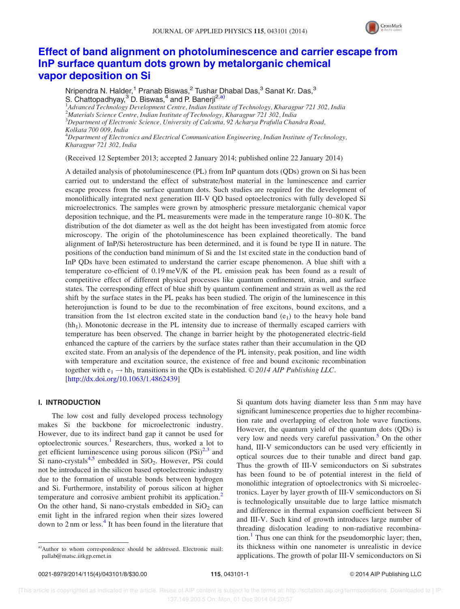

# Effect of band alignment on photoluminescence and carrier escape from InP surface quantum dots grown by metalorganic chemical vapor deposition on Si

Nripendra N. Halder,<sup>1</sup> Pranab Biswas,<sup>2</sup> Tushar Dhabal Das,<sup>3</sup> Sanat Kr. Das,<sup>3</sup> S. Chattopadhyay,<sup>3</sup> D. Biswas,<sup>4</sup> and P. Banerji<sup>2,a)</sup> 1 *Advanced Technology Development Centre, Indian Institute of Technology, Kharagpur 721 302, India* <sup>2</sup>*Materials Science Centre, Indian Institute of Technology, Kharagpur 721 302, India* <sup>3</sup>*Department of Electronic Science, University of Calcutta, 92 Acharya Prafulla Chandra Road, Kolkata 700 009, India* <sup>4</sup>*Department of Electronics and Electrical Communication Engineering, Indian Institute of Technology, Kharagpur 721 302, India*

(Received 12 September 2013; accepted 2 January 2014; published online 22 January 2014)

A detailed analysis of photoluminescence (PL) from InP quantum dots (QDs) grown on Si has been carried out to understand the effect of substrate/host material in the luminescence and carrier escape process from the surface quantum dots. Such studies are required for the development of monolithically integrated next generation III-V QD based optoelectronics with fully developed Si microelectronics. The samples were grown by atmospheric pressure metalorganic chemical vapor deposition technique, and the PL measurements were made in the temperature range 10–80 K. The distribution of the dot diameter as well as the dot height has been investigated from atomic force microscopy. The origin of the photoluminescence has been explained theoretically. The band alignment of InP/Si heterostructure has been determined, and it is found be type II in nature. The positions of the conduction band minimum of Si and the 1st excited state in the conduction band of InP QDs have been estimated to understand the carrier escape phenomenon. A blue shift with a temperature co-efficient of 0.19 meV/K of the PL emission peak has been found as a result of competitive effect of different physical processes like quantum confinement, strain, and surface states. The corresponding effect of blue shift by quantum confinement and strain as well as the red shift by the surface states in the PL peaks has been studied. The origin of the luminescence in this heterojunction is found to be due to the recombination of free excitons, bound excitons, and a transition from the 1st electron excited state in the conduction band  $(e_1)$  to the heavy hole band  $(hh<sub>1</sub>)$ . Monotonic decrease in the PL intensity due to increase of thermally escaped carriers with temperature has been observed. The change in barrier height by the photogenerated electric-field enhanced the capture of the carriers by the surface states rather than their accumulation in the QD excited state. From an analysis of the dependence of the PL intensity, peak position, and line width with temperature and excitation source, the existence of free and bound excitonic recombination together with  $e_1 \rightarrow hh_1$  transitions in the QDs is established.  $\odot$  2014 AIP Publishing LLC. [http://dx.doi.org/10.1063/1.4862439]

## I. INTRODUCTION

The low cost and fully developed process technology makes Si the backbone for microelectronic industry. However, due to its indirect band gap it cannot be used for optoelectronic sources.<sup>1</sup> Researchers, thus, worked a lot to get efficient luminescence using porous silicon  $(PSi)^{2,3}$  and Si nano-crystals<sup>4,5</sup> embedded in  $SiO<sub>2</sub>$ . However, PSi could not be introduced in the silicon based optoelectronic industry due to the formation of unstable bonds between hydrogen and Si. Furthermore, instability of porous silicon at higher temperature and corrosive ambient prohibit its application.<sup>2</sup> On the other hand, Si nano-crystals embedded in  $SiO<sub>2</sub>$  can emit light in the infrared region when their sizes lowered down to 2 nm or less.<sup>4</sup> It has been found in the literature that

Si quantum dots having diameter less than 5 nm may have significant luminescence properties due to higher recombination rate and overlapping of electron hole wave functions. However, the quantum yield of the quantum dots (QDs) is very low and needs very careful passivation.<sup>5</sup> On the other hand, III-V semiconductors can be used very efficiently in optical sources due to their tunable and direct band gap. Thus the growth of III-V semiconductors on Si substrates has been found to be of potential interest in the field of monolithic integration of optoelectronics with Si microelectronics. Layer by layer growth of III-V semiconductors on Si is technologically unsuitable due to large lattice mismatch and difference in thermal expansion coefficient between Si and III-V. Such kind of growth introduces large number of threading dislocation leading to non-radiative recombination.<sup>1</sup> Thus one can think for the pseudomorphic layer; then, its thickness within one nanometer is unrealistic in device applications. The growth of polar III-V semiconductors on Si

a)Author to whom correspondence should be addressed. Electronic mail: pallab@matsc.iitkgp.ernet.in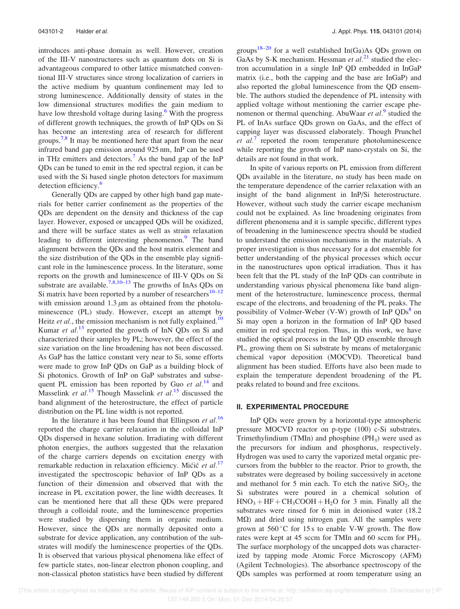introduces anti-phase domain as well. However, creation of the III-V nanostructures such as quantum dots on Si is advantageous compared to other lattice mismatched conventional III-V structures since strong localization of carriers in the active medium by quantum confinement may led to strong luminescence. Additionally density of states in the low dimensional structures modifies the gain medium to have low threshold voltage during lasing.<sup>6</sup> With the progress of different growth techniques, the growth of InP QDs on Si has become an interesting area of research for different groups.<sup>7,8</sup> It may be mentioned here that apart from the near infrared band gap emission around 925 nm, InP can be used in THz emitters and detectors.<sup>7</sup> As the band gap of the  $InP$ QDs can be tuned to emit in the red spectral region, it can be used with the Si based single photon detectors for maximum detection efficiency.<sup>6</sup>

Generally QDs are capped by other high band gap materials for better carrier confinement as the properties of the QDs are dependent on the density and thickness of the cap layer. However, exposed or uncapped QDs will be oxidized, and there will be surface states as well as strain relaxation leading to different interesting phenomenon.<sup>9</sup> The band alignment between the QDs and the host matrix element and the size distribution of the QDs in the ensemble play significant role in the luminescence process. In the literature, some reports on the growth and luminescence of III-V QDs on Si substrate are available.<sup>7,8,10–13</sup> The growths of InAs QDs on Si matrix have been reported by a number of researchers $10-12$ with emission around 1.3  $\mu$ m as obtained from the photoluminescence (PL) study. However, except an attempt by Heitz *et al.*, the emission mechanism is not fully explained.<sup>10</sup> Kumar *et al.*<sup>13</sup> reported the growth of InN QDs on Si and characterized their samples by PL; however, the effect of the size variation on the line broadening has not been discussed. As GaP has the lattice constant very near to Si, some efforts were made to grow InP QDs on GaP as a building block of Si photonics. Growth of InP on GaP substrates and subsequent PL emission has been reported by Guo *et al.*<sup>14</sup> and Masselink *et al.*<sup>15</sup> Though Masselink *et al.*<sup>15</sup> discussed the band alignment of the heterostructure, the effect of particle distribution on the PL line width is not reported.

In the literature it has been found that Ellingson *et al.*<sup>16</sup> reported the charge carrier relaxation in the colloidal InP QDs dispersed in hexane solution. Irradiating with different photon energies, the authors suggested that the relaxation of the charge carriers depends on excitation energy with remarkable reduction in relaxation efficiency. Mićić *et al.*<sup>17</sup> investigated the spectroscopic behavior of InP QDs as a function of their dimension and observed that with the increase in PL excitation power, the line width decreases. It can be mentioned here that all these QDs were prepared through a colloidal route, and the luminescence properties were studied by dispersing them in organic medium. However, since the QDs are normally deposited onto a substrate for device application, any contribution of the substrates will modify the luminescence properties of the QDs. It is observed that various physical phenomena like effect of few particle states, non-linear electron phonon coupling, and non-classical photon statistics have been studied by different groups<sup>18–20</sup> for a well established  $In(Ga)As$  QDs grown on GaAs by S-K mechanism. Hessman *et al.*<sup>21</sup> studied the electron accumulation in a single InP QD embedded in InGaP matrix (i.e., both the capping and the base are InGaP) and also reported the global luminescence from the QD ensemble. The authors studied the dependence of PL intensity with applied voltage without mentioning the carrier escape phenomenon or thermal quenching. AbuWaar *et al.*<sup>9</sup> studied the PL of InAs surface QDs grown on GaAs, and the effect of capping layer was discussed elaborately. Though Prunchel *et al.*<sup>7</sup> reported the room temperature photoluminescence while reporting the growth of InP nano-crystals on Si, the details are not found in that work.

In spite of various reports on PL emission from different QDs available in the literature, no study has been made on the temperature dependence of the carrier relaxation with an insight of the band alignment in InP/Si heterostructure. However, without such study the carrier escape mechanism could not be explained. As line broadening originates from different phenomena and it is sample specific, different types of broadening in the luminescence spectra should be studied to understand the emission mechanisms in the materials. A proper investigation is thus necessary for a dot ensemble for better understanding of the physical processes which occur in the nanostructures upon optical irradiation. Thus it has been felt that the PL study of the InP QDs can contribute in understanding various physical phenomena like band alignment of the heterostructure, luminescence process, thermal escape of the electrons, and broadening of the PL peaks. The possibility of Volmer-Weber (V-W) growth of InP QDs<sup>8</sup> on Si may open a horizon in the formation of InP QD based emitter in red spectral region. Thus, in this work, we have studied the optical process in the InP QD ensemble through PL, growing them on Si substrate by means of metalorganic chemical vapor deposition (MOCVD). Theoretical band alignment has been studied. Efforts have also been made to explain the temperature dependent broadening of the PL peaks related to bound and free excitons.

## II. EXPERIMENTAL PROCEDURE

InP QDs were grown by a horizontal-type atmospheric pressure MOCVD reactor on p-type (100) c-Si substrates. Trimethylindium (TMIn) and phosphine  $(PH<sub>3</sub>)$  were used as the precursors for indium and phosphorus, respectively. Hydrogen was used to carry the vaporized metal organic precursors from the bubbler to the reactor. Prior to growth, the substrates were degreased by boiling successively in acetone and methanol for 5 min each. To etch the native  $SiO<sub>2</sub>$ , the Si substrates were poured in a chemical solution of  $HNO<sub>3</sub> + HF + CH<sub>3</sub>COOH + H<sub>2</sub>O$  for 3 min. Finally all the substrates were rinsed for 6 min in deionised water (18.2  $M\Omega$ ) and dried using nitrogen gun. All the samples were grown at  $560^{\circ}$ C for 15 s to enable V-W growth. The flow rates were kept at 45 sccm for TMIn and 60 sccm for PH<sub>3</sub>. The surface morphology of the uncapped dots was characterized by tapping mode Atomic Force Microscopy (AFM) (Agilent Technologies). The absorbance spectroscopy of the QDs samples was performed at room temperature using an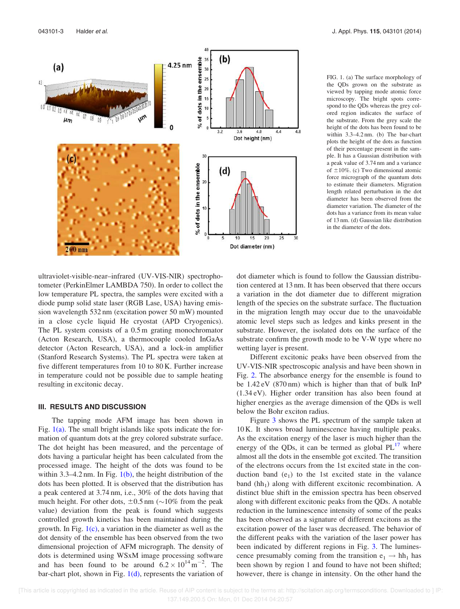

FIG. 1. (a) The surface morphology of the QDs grown on the substrate as viewed by tapping mode atomic force microscopy. The bright spots correspond to the QDs whereas the grey colored region indicates the surface of the substrate. From the grey scale the height of the dots has been found to be within 3.3–4.2 nm. (b) The bar-chart plots the height of the dots as function of their percentage present in the sample. It has a Gaussian distribution with a peak value of 3.74 nm and a variance of  $\pm 10\%$ . (c) Two dimensional atomic force micrograph of the quantum dots to estimate their diameters. Migration length related perturbation in the dot diameter has been observed from the diameter variation. The diameter of the dots has a variance from its mean value of 13 nm. (d) Gaussian like distribution in the diameter of the dots.

ultraviolet-visible-near–infrared (UV-VIS-NIR) spectrophotometer (PerkinElmer LAMBDA 750). In order to collect the low temperature PL spectra, the samples were excited with a diode pump solid state laser (RGB Lase, USA) having emission wavelength 532 nm (excitation power 50 mW) mounted in a close cycle liquid He cryostat (APD Cryogenics). The PL system consists of a 0.5 m grating monochromator (Acton Research, USA), a thermocouple cooled InGaAs detector (Acton Research, USA), and a lock-in amplifier (Stanford Research Systems). The PL spectra were taken at five different temperatures from 10 to 80 K. Further increase in temperature could not be possible due to sample heating resulting in excitonic decay.

### III. RESULTS AND DISCUSSION

The tapping mode AFM image has been shown in Fig.  $1(a)$ . The small bright islands like spots indicate the formation of quantum dots at the grey colored substrate surface. The dot height has been measured, and the percentage of dots having a particular height has been calculated from the processed image. The height of the dots was found to be within 3.3–4.2 nm. In Fig.  $1(b)$ , the height distribution of the dots has been plotted. It is observed that the distribution has a peak centered at 3.74 nm, i.e., 30% of the dots having that much height. For other dots,  $\pm 0.5$  nm ( $\sim$ 10% from the peak value) deviation from the peak is found which suggests controlled growth kinetics has been maintained during the growth. In Fig.  $1(c)$ , a variation in the diameter as well as the dot density of the ensemble has been observed from the two dimensional projection of AFM micrograph. The density of dots is determined using WSxM image processing software and has been found to be around  $6.2 \times 10^{14} \text{ m}^{-2}$ . The bar-chart plot, shown in Fig.  $1(d)$ , represents the variation of dot diameter which is found to follow the Gaussian distribution centered at 13 nm. It has been observed that there occurs a variation in the dot diameter due to different migration length of the species on the substrate surface. The fluctuation in the migration length may occur due to the unavoidable atomic level steps such as ledges and kinks present in the substrate. However, the isolated dots on the surface of the substrate confirm the growth mode to be V-W type where no wetting layer is present.

Different excitonic peaks have been observed from the UV-VIS-NIR spectroscopic analysis and have been shown in Fig. 2. The absorbance energy for the ensemble is found to be 1.42 eV (870 nm) which is higher than that of bulk InP (1.34 eV). Higher order transition has also been found at higher energies as the average dimension of the QDs is well below the Bohr exciton radius.

Figure 3 shows the PL spectrum of the sample taken at 10 K. It shows broad luminescence having multiple peaks. As the excitation energy of the laser is much higher than the energy of the QDs, it can be termed as global  $PL^{17}$  where almost all the dots in the ensemble got excited. The transition of the electrons occurs from the 1st excited state in the conduction band  $(e_1)$  to the 1st excited state in the valance band  $(hh_1)$  along with different excitonic recombination. A distinct blue shift in the emission spectra has been observed along with different excitonic peaks from the QDs. A notable reduction in the luminescence intensity of some of the peaks has been observed as a signature of different excitons as the excitation power of the laser was decreased. The behavior of the different peaks with the variation of the laser power has been indicated by different regions in Fig. 3. The luminescence presumably coming from the transition  $e_1 \rightarrow hh_1$  has been shown by region 1 and found to have not been shifted; however, there is change in intensity. On the other hand the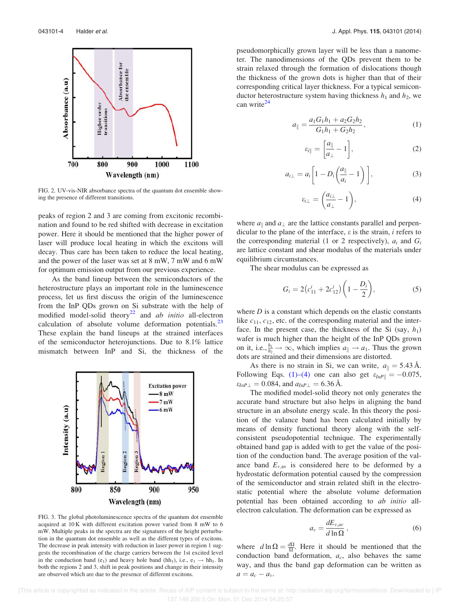

FIG. 2. UV-vis-NIR absorbance spectra of the quantum dot ensemble showing the presence of different transitions.

peaks of region 2 and 3 are coming from excitonic recombination and found to be red shifted with decrease in excitation power. Here it should be mentioned that the higher power of laser will produce local heating in which the excitons will decay. Thus care has been taken to reduce the local heating, and the power of the laser was set at 8 mW, 7 mW and 6 mW for optimum emission output from our previous experience.

As the band lineup between the semiconductors of the heterostructure plays an important role in the luminescence process, let us first discuss the origin of the luminescence from the InP QDs grown on Si substrate with the help of modified model-solid theory<sup>22</sup> and *ab initio* all-electron calculation of absolute volume deformation potentials. $^{23}$ These explain the band lineups at the strained interfaces of the semiconductor heterojunctions. Due to 8.1% lattice mismatch between InP and Si, the thickness of the



FIG. 3. The global photoluminescence spectra of the quantum dot ensemble acquired at 10 K with different excitation power varied from 8 mW to 6 mW. Multiple peaks in the spectra are the signatures of the height perturbation in the quantum dot ensemble as well as the different types of excitons. The decrease in peak intensity with reduction in laser power in region 1 suggests the recombination of the charge carriers between the 1st excited level in the conduction band  $(e_1)$  and heavy hole band  $(hh_1)$ , i.e.,  $e_1 \rightarrow hh_1$ . In both the regions 2 and 3, shift in peak positions and change in their intensity are observed which are due to the presence of different excitons.

pseudomorphically grown layer will be less than a nanometer. The nanodimensions of the QDs prevent them to be strain relaxed through the formation of dislocations though the thickness of the grown dots is higher than that of their corresponding critical layer thickness. For a typical semiconductor heterostructure system having thickness  $h_1$  and  $h_2$ , we can write $^{24}$ 

$$
a_{\parallel} = \frac{a_1 G_1 h_1 + a_2 G_2 h_2}{G_1 h_1 + G_2 h_2},\tag{1}
$$

$$
\varepsilon_{i\parallel} = \left[\frac{a_{\parallel}}{a_{\perp}} - 1\right],\tag{2}
$$

$$
a_{i\perp} = a_i \left[ 1 - D_i \left( \frac{a_{\parallel}}{a_i} - 1 \right) \right], \tag{3}
$$

$$
\varepsilon_{i\perp} = \left(\frac{a_{i\perp}}{a_{\perp}} - 1\right),\tag{4}
$$

where  $a_{\parallel}$  and  $a_{\perp}$  are the lattice constants parallel and perpendicular to the plane of the interface, e is the strain, *i* refers to the corresponding material (1 or 2 respectively),  $a_i$  and  $G_i$ are lattice constant and shear modulus of the materials under equilibrium circumstances.

The shear modulus can be expressed as

$$
G_i = 2(c_{11}^i + 2c_{12}^i)\left(1 - \frac{D_i}{2}\right),\tag{5}
$$

where *D* is a constant which depends on the elastic constants like  $c_{11}$ ,  $c_{12}$ , etc. of the corresponding material and the interface. In the present case, the thickness of the Si  $(say, h<sub>1</sub>)$ wafer is much higher than the height of the InP QDs grown on it, i.e.,  $\frac{h_1}{h_2} \rightarrow \infty$ , which implies  $a_{\parallel} \rightarrow a_1$ . Thus the grown dots are strained and their dimensions are distorted.

As there is no strain in Si, we can write,  $a_{\parallel} = 5.43 \text{ Å}.$ Following Eqs. (1)–(4) one can also get  $\varepsilon_{InP\parallel} = -0.075$ ,  $\varepsilon_{InP\perp} = 0.084$ , and  $a_{InP\perp} = 6.36$  Å.

The modified model-solid theory not only generates the accurate band structure but also helps in aligning the band structure in an absolute energy scale. In this theory the position of the valance band has been calculated initially by means of density functional theory along with the selfconsistent pseudopotential technique. The experimentally obtained band gap is added with to get the value of the position of the conduction band. The average position of the valance band  $E_{v,av}$  is considered here to be deformed by a hydrostatic deformation potential caused by the compression of the semiconductor and strain related shift in the electrostatic potential where the absolute volume deformation potential has been obtained according to *ab initio* allelectron calculation. The deformation can be expressed as

$$
a_v = \frac{dE_{v,av}}{d\ln\Omega},\qquad(6)
$$

where  $d \ln \Omega = \frac{d\Omega}{\Omega}$ . Here it should be mentioned that the conduction band deformation,  $a_c$ , also behaves the same way, and thus the band gap deformation can be written as  $a = a_c - a_v$ .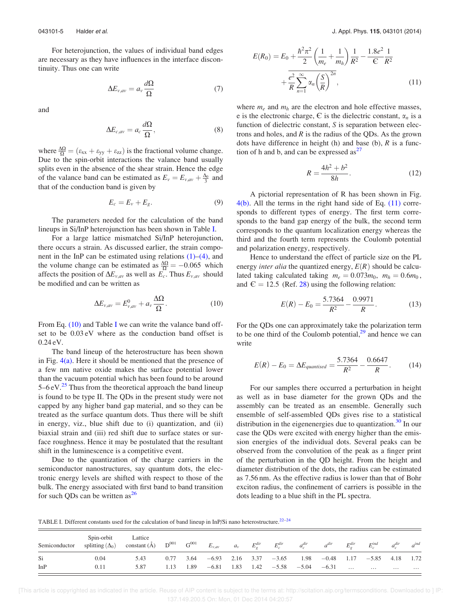For heterojunction, the values of individual band edges are necessary as they have influences in the interface discontinuity. Thus one can write

$$
\Delta E_{\nu,av} = a_{\nu} \frac{d\Omega}{\Omega} \tag{7}
$$

and

$$
\Delta E_{c,av} = a_c \frac{d\Omega}{\Omega},\qquad(8)
$$

where  $\frac{\Delta\Omega}{\Omega} = (\varepsilon_{xx} + \varepsilon_{yy} + \varepsilon_{zz})$  is the fractional volume change. Due to the spin-orbit interactions the valance band usually splits even in the absence of the shear strain. Hence the edge of the valance band can be estimated as  $E_v = E_{v,av} + \frac{\Delta_0}{3}$  and that of the conduction band is given by

$$
E_c = E_v + E_g. \tag{9}
$$

The parameters needed for the calculation of the band lineups in Si/InP heterojunction has been shown in Table I.

For a large lattice mismatched Si/InP heterojunction, there occurs a strain. As discussed earlier, the strain component in the InP can be estimated using relations  $(1)$ – $(4)$ , and the volume change can be estimated as  $\frac{\Delta \Omega}{\Omega} = -0.065$  which affects the position of  $\Delta E_{v,av}$  as well as  $E_c$ . Thus  $E_{v,av}$  should be modified and can be written as

$$
\Delta E_{v,av} = E_{v,av}^0 + a_v \frac{\Delta \Omega}{\Omega}.
$$
\n(10)

From Eq. (10) and Table I we can write the valance band offset to be 0.03 eV where as the conduction band offset is 0.24 eV.

The band lineup of the heterostructure has been shown in Fig.  $4(a)$ . Here it should be mentioned that the presence of a few nm native oxide makes the surface potential lower than the vacuum potential which has been found to be around  $5-6$  eV.<sup>25</sup> Thus from the theoretical approach the band lineup is found to be type II. The QDs in the present study were not capped by any higher band gap material, and so they can be treated as the surface quantum dots. Thus there will be shift in energy, viz., blue shift due to (i) quantization, and (ii) biaxial strain and (iii) red shift due to surface states or surface roughness. Hence it may be postulated that the resultant shift in the luminescence is a competitive event.

Due to the quantization of the charge carriers in the semiconductor nanostructures, say quantum dots, the electronic energy levels are shifted with respect to those of the bulk. The energy associated with first band to band transition for such QDs can be written  $as^{26}$ 

$$
E(R_0) = E_0 + \frac{\hbar^2 \pi^2}{2} \left( \frac{1}{m_e} + \frac{1}{m_h} \right) \frac{1}{R^2} - \frac{1.8e^2}{\epsilon} \frac{1}{R^2} + \frac{e^2}{R} \sum_{n=1}^{\infty} \alpha_n \left( \frac{S}{R} \right)^{2n},
$$
\n(11)

where  $m_e$  and  $m_h$  are the electron and hole effective masses, e is the electronic charge,  $\epsilon$  is the dielectric constant,  $\alpha_n$  is a function of dielectric constant, *S* is separation between electrons and holes, and  $R$  is the radius of the QDs. As the grown dots have difference in height (h) and base (b), *R* is a function of h and b, and can be expressed  $as<sup>27</sup>$ 

$$
R = \frac{4h^2 + b^2}{8h}.
$$
 (12)

A pictorial representation of R has been shown in Fig.  $4(b)$ . All the terms in the right hand side of Eq.  $(11)$  corresponds to different types of energy. The first term corresponds to the band gap energy of the bulk, the second term corresponds to the quantum localization energy whereas the third and the fourth term represents the Coulomb potential and polarization energy, respectively.

Hence to understand the effect of particle size on the PL energy *inter alia* the quantized energy,  $E(R)$  should be calculated taking calculated taking  $m_e = 0.073m_0$ ,  $m_h = 0.6m_0$ , and  $E = 12.5$  (Ref. 28) using the following relation:

$$
E(R) - E_0 = \frac{5.7364}{R^2} - \frac{0.9971}{R}.
$$
 (13)

For the QDs one can approximately take the polarization term to be one third of the Coulomb potential, $2<sup>9</sup>$  and hence we can write

$$
E(R) - E_0 = \Delta E_{quantised} = \frac{5.7364}{R^2} - \frac{0.6647}{R}.
$$
 (14)

For our samples there occurred a perturbation in height as well as in base diameter for the grown QDs and the assembly can be treated as an ensemble. Generally such ensemble of self-assembled QDs gives rise to a statistical distribution in the eigenenergies due to quantization.<sup>30</sup> In our case the QDs were excited with energy higher than the emission energies of the individual dots. Several peaks can be observed from the convolution of the peak as a finger print of the perturbation in the QD height. From the height and diameter distribution of the dots, the radius can be estimated as 7.56 nm. As the effective radius is lower than that of Bohr exciton radius, the confinement of carriers is possible in the dots leading to a blue shift in the PL spectra.

TABLE I. Different constants used for the calculation of band lineup in InP/Si nano heterostructure.<sup>22–24</sup>

| Semiconductor | Spin-orbit<br>splitting $(\Delta_0)$ | Lattice<br>constant $(\mathring{A})$ $D^{001}$ |      | $\rm G^{001}$ | $E_{v,av}$        | $a_v$ | $E_o^{dir}$ | $E_c^{dir}$ | $a_c^{dir}$              | $a^{dir}$         | $E^{dir}_{\alpha}$ | $E^{ind}_{\alpha}$ | $a_c^{dir}$ | $a^{ind}$ |
|---------------|--------------------------------------|------------------------------------------------|------|---------------|-------------------|-------|-------------|-------------|--------------------------|-------------------|--------------------|--------------------|-------------|-----------|
| Si            | 0.04                                 | 5.43                                           | 0.77 | 3.64          | $-6.93$ 2.16 3.37 |       |             | $-3.65$     |                          | $1.98 -0.48$ 1.17 |                    | $-5.85$            | 4.18        | 1.72      |
| InP           | 0.11                                 | 5.87                                           | 1.13 | 1.89          | $-6.81$           | 1.83  |             |             | $1.42 -5.58 -5.04 -6.31$ |                   | $\cdots$           | $\cdots$           | .           | $\cdots$  |

 [This article is copyrighted as indicated in the article. Reuse of AIP content is subject to the terms at: http://scitation.aip.org/termsconditions. Downloaded to ] IP: 137.149.200.5 On: Mon, 01 Dec 2014 04:20:57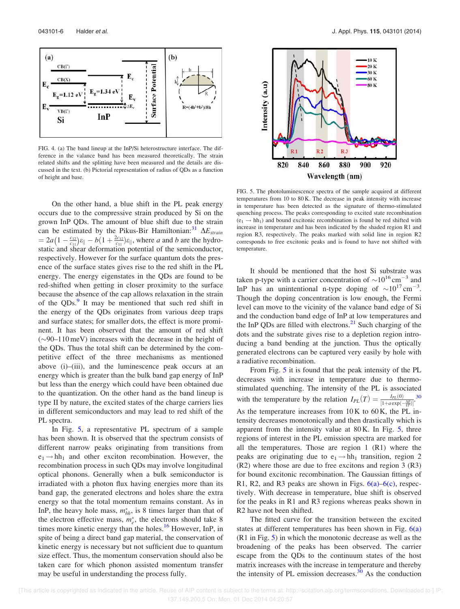

FIG. 4. (a) The band lineup at the InP/Si heterostructure interface. The difference in the valance band has been measured theoretically. The strain related shifts and the splitting have been measured and the details are discussed in the text. (b) Pictorial representation of radius of QDs as a function of height and base.

On the other hand, a blue shift in the PL peak energy occurs due to the compressive strain produced by Si on the grown InP QDs. The amount of blue shift due to the strain can be estimated by the Pikus-Bir Hamiltonian:<sup>31</sup>  $\Delta E_{strain}$  $= 2a\left(1 - \frac{c_{12}}{c_{11}}\right)\varepsilon_{\parallel} - b(1 + \frac{2c_{12}}{c_{11}})\varepsilon_{\parallel}$ , where *a* and *b* are the hydrostatic and shear deformation potential of the semiconductor, respectively. However for the surface quantum dots the presence of the surface states gives rise to the red shift in the PL energy. The energy eigenstates in the QDs are found to be red-shifted when getting in closer proximity to the surface because the absence of the cap allows relaxation in the strain of the QDs.<sup>9</sup> It may be mentioned that such red shift in the energy of the QDs originates from various deep traps and surface states; for smaller dots, the effect is more prominent. It has been observed that the amount of red shift  $(\sim 90-110 \,\text{meV})$  increases with the decrease in the height of the QDs. Thus the total shift can be determined by the competitive effect of the three mechanisms as mentioned above (i)–(iii), and the luminescence peak occurs at an energy which is greater than the bulk band gap energy of InP but less than the energy which could have been obtained due to the quantization. On the other hand as the band lineup is type II by nature, the excited states of the charge carriers lies in different semiconductors and may lead to red shift of the PL spectra.

In Fig. 5, a representative PL spectrum of a sample has been shown. It is observed that the spectrum consists of different narrow peaks originating from transitions from  $e_1 \rightarrow hh_1$  and other exciton recombination. However, the recombination process in such QDs may involve longitudinal optical phonons. Generally when a bulk semiconductor is irradiated with a photon flux having energies more than its band gap, the generated electrons and holes share the extra energy so that the total momentum remains constant. As in InP, the heavy hole mass,  $m_{hh}^*$ , is 8 times larger than that of the electron effective mass,  $m_e^*$ , the electrons should take 8 times more kinetic energy than the holes.<sup>16</sup> However, InP, in spite of being a direct band gap material, the conservation of kinetic energy is necessary but not sufficient due to quantum size effect. Thus, the momentum conservation should also be taken care for which phonon assisted momentum transfer may be useful in understanding the process fully.



FIG. 5. The photoluminescence spectra of the sample acquired at different temperatures from 10 to 80 K. The decrease in peak intensity with increase in temperature has been detected as the signature of thermo-stimulated quenching process. The peaks corresponding to excited state recombination  $(e_1 \rightarrow hh_1)$  and bound excitonic recombination is found be red shifted with increase in temperature and has been indicated by the shaded region R1 and region R3, respectively. The peaks marked with solid line in region R2 corresponds to free excitonic peaks and is found to have not shifted with temperature.

It should be mentioned that the host Si substrate was taken p-type with a carrier concentration of  $\sim 10^{16}$  cm<sup>-3</sup> and InP has an unintentional n-type doping of  $\sim 10^{17} \text{ cm}^{-3}$ . Though the doping concentration is low enough, the Fermi level can move to the vicinity of the valance band edge of Si and the conduction band edge of InP at low temperatures and the InP QDs are filled with electrons. $2<sup>1</sup>$  Such charging of the dots and the substrate gives rise to a depletion region introducing a band bending at the junction. Thus the optically generated electrons can be captured very easily by hole with a radiative recombination.

From Fig. 5 it is found that the peak intensity of the PL decreases with increase in temperature due to thermostimulated quenching. The intensity of the PL is associated with the temperature by the relation  $I_{PL}(T) = \frac{I_{PL}(0)}{[1 + a \exp(-\frac{\Delta E}{\lambda T})]}$ .<sup>30</sup> As the temperature increases from 10 K to 60 K, the PL intensity decreases monotonically and then drastically which is apparent from the intensity value at  $80 \text{ K}$ . In Fig. 5, three regions of interest in the PL emission spectra are marked for all the temperatures. Those are region 1 (R1) where the peaks are originating due to  $e_1 \rightarrow hh_1$  transition, region 2 (R2) where those are due to free excitons and region 3 (R3) for bound excitonic recombination. The Gaussian fittings of R1, R2, and R3 peaks are shown in Figs. 6(a)–6(c), respectively. With decrease in temperature, blue shift is observed for the peaks in R1 and R3 regions whereas peaks shown in R2 have not been shifted.

The fitted curve for the transition between the excited states at different temperatures has been shown in Fig.  $6(a)$ (R1 in Fig. 5) in which the monotonic decrease as well as the broadening of the peaks has been observed. The carrier escape from the QDs to the continuum states of the host matrix increases with the increase in temperature and thereby the intensity of PL emission decreases. $30$  As the conduction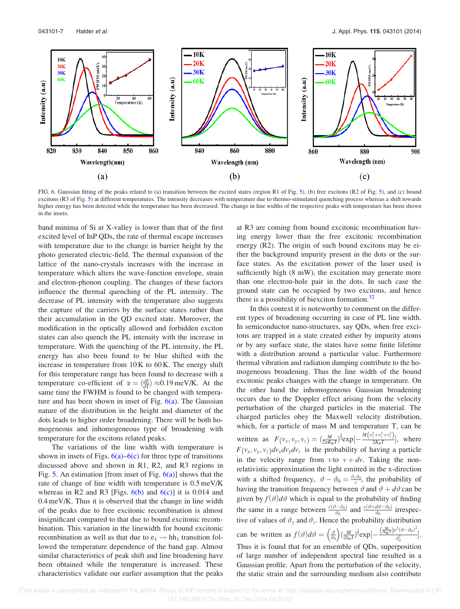

FIG. 6. Gaussian fitting of the peaks related to (a) transition between the excited states (region R1 of Fig. 5), (b) free excitons (R2 of Fig. 5), and (c) bound excitons (R3 of Fig. 5) at different temperatures. The intensity decreases with temperature due to thermo-stimulated quenching process whereas a shift towards higher energy has been detected while the temperature has been decreased. The change in line widths of the respective peaks with temperature has been shown in the insets.

band minima of Si at X-valley is lower than that of the first excited level of InP QDs, the rate of thermal escape increases with temperature due to the change in barrier height by the photo generated electric-field. The thermal expansion of the lattice of the nano-crystals increases with the increase in temperature which alters the wave-function envelope, strain and electron-phonon coupling. The changes of these factors influence the thermal quenching of the PL intensity. The decrease of PL intensity with the temperature also suggests the capture of the carriers by the surface states rather than their accumulation in the QD excited state. Moreover, the modification in the optically allowed and forbidden exciton states can also quench the PL intensity with the increase in temperature. With the quenching of the PL intensity, the PL energy has also been found to be blue shifted with the increase in temperature from  $10K$  to  $60K$ . The energy shift for this temperature range has been found to decrease with a temperature co-efficient of  $\alpha = \left(\frac{dE}{dT}\right) \approx 0.19 \,\text{meV/K}$ . At the same time the FWHM is found to be changed with temperature and has been shown in inset of Fig.  $6(a)$ . The Gaussian nature of the distribution in the height and diameter of the dots leads to higher order broadening. There will be both homogeneous and inhomogeneous type of broadening with temperature for the excitons related peaks.

The variations of the line width with temperature is shown in insets of Figs.  $6(a)$ – $6(c)$  for three type of transitions discussed above and shown in R1, R2, and R3 regions in Fig. 5. An estimation [from inset of Fig.  $6(a)$ ] shows that the rate of change of line width with temperature is 0.5 meV/K whereas in R2 and R3 [Figs.  $6(b)$  and  $6(c)$ ] it is 0.014 and 0.4 meV/K. Thus it is observed that the change in line width of the peaks due to free excitonic recombination is almost insignificant compared to that due to bound excitonic recombination. This variation in the linewidth for bound excitonic recombination as well as that due to  $e_1 \rightarrow hh_1$  transition followed the temperature dependence of the band gap. Almost similar characteristics of peak shift and line broadening have been obtained while the temperature is increased. These characteristics validate our earlier assumption that the peaks at R3 are coming from bound excitonic recombination having energy lower than the free excitonic recombination energy (R2). The origin of such bound excitons may be either the background impurity present in the dots or the surface states. As the excitation power of the laser used is sufficiently high (8 mW), the excitation may generate more than one electron-hole pair in the dots. In such case the ground state can be occupied by two excitons, and hence there is a possibility of biexciton formation. $32$ 

In this context it is noteworthy to comment on the different types of broadening occurring in case of PL line width. In semiconductor nano-structures, say QDs, when free excitons are trapped in a state created either by impurity atoms or by any surface state, the states have some finite lifetime with a distribution around a particular value. Furthermore thermal vibration and radiation damping contribute to the homogeneous broadening. Thus the line width of the bound excitonic peaks changes with the change in temperature. On the other hand the inhomogeneous Gaussian broadening occurs due to the Doppler effect arising from the velocity perturbation of the charged particles in the material. The charged particles obey the Maxwell velocity distribution, which, for a particle of mass M and temperature T, can be written as  $F(v_x, v_y, v_z) = \left(\frac{M}{2\pi K_B T}\right)^{\frac{3}{2}} \exp\left[-\frac{M(v_x^2 + v_y^2 + v_z^2)}{2K_B T}\right]$  $\frac{x+y+y_2}{2K_BT}$ , where  $F(v_x, v_y, v_z)dv_x dv_y dv_z$  is the probability of having a particle in the velocity range from  $v$  to  $v + dv$ . Taking the nonrelativistic approximation the light emitted in the x-direction with a shifted frequency,  $\vartheta - \vartheta_0 = \frac{\vartheta_x \vartheta_0}{c}$ , the probability of having the transition frequency between  $\vartheta$  and  $\vartheta + d\vartheta$  can be given by  $f(\vartheta)d\vartheta$  which is equal to the probability of finding the same in a range between  $\frac{c(\vartheta - \vartheta_0)}{\vartheta_0}$  and  $\frac{c(\vartheta + d\vartheta - \vartheta_0)}{\vartheta_0}$  irrespective of values of  $\vartheta_y$  and  $\vartheta_z$ . Hence the probability distribution can be written as  $f(\vartheta)d\vartheta = \left(\frac{\vartheta}{\vartheta_0}\right) \left(\frac{M}{2k_BT}\right)^{\frac{1}{2}} \exp\left[-\frac{\left(\frac{M}{2k_BT}\right)c^2(\vartheta-\vartheta_0)^2}{\vartheta_0^2}\right]$  $\frac{1}{\vartheta_0^2}$ . Thus it is found that for an ensemble of QDs, superposition of large number of independent spectral line resulted in a Gaussian profile. Apart from the perturbation of the velocity, the static strain and the surrounding medium also contribute